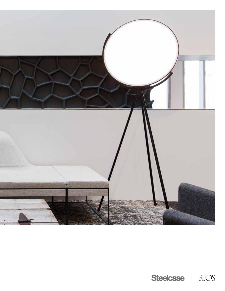

Steelcase | FLOS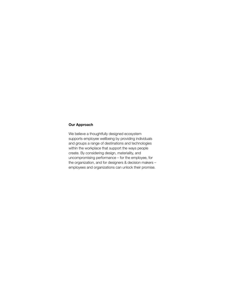## **Our Approach**

We believe a thoughtfully designed ecosystem supports employee wellbeing by providing individuals and groups a range of destinations and technologies within the workplace that support the ways people create. By considering design, materiality, and uncompromising performance – for the employee, for the organization, and for designers & decision makers – employees and organizations can unlock their promise.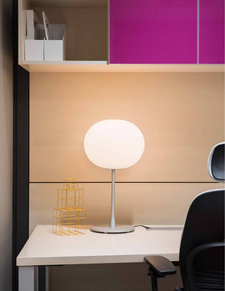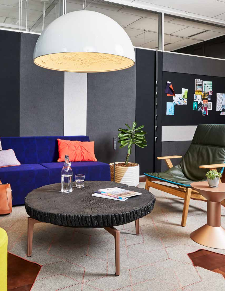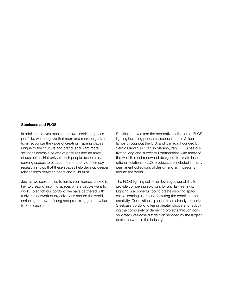## **Steelcase and FLOS**

In addition to investment in our own inspiring spaces portfolio, we recognize that more and more, organizations recognize the value of creating inspiring places unique to their culture and brand, and want more solutions across a palette of postures and an array of aesthetics. Not only are their people desperately seeking spaces to escape the monotony of their day, research shows that these spaces help develop deeper relationships between peers and build trust.

Just as we seek choice to furnish our homes, choice is key to creating inspiring spaces where people want to work. To enrich our portfolio, we have partnered with a diverse network of organizations around the world, enriching our own offering and promising greater value to Steelcase customers.

Steelcase now offers the decorative collection of FLOS lighting including pendants, sconces, table & floor lamps throughout the U.S. and Canada. Founded by Sergio Gandini in 1962 in Merano, Italy, FLOS has cultivated long and successful partnerships with many of the world's most renowned designers to create inspirational solutions. FLOS products are included in many permanent collections of design and art museums around the world.

The FLOS lighting collection leverages our ability to provide compelling solutions for ancillary settings. Lighting is a powerful tool to create inspiring spaces; welcoming users and fostering the conditions for creativity. Our relationship adds to an already extensive Steelcase portfolio, offering greater choice and reducing the complexity of delivering projects through consolidated Steelcase distribution serviced by the largest dealer network in the industry.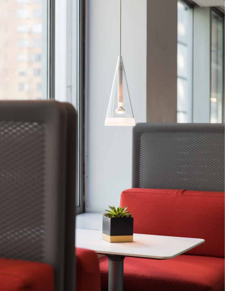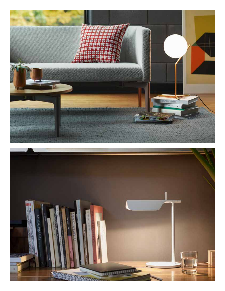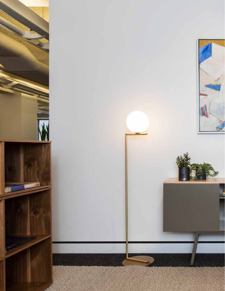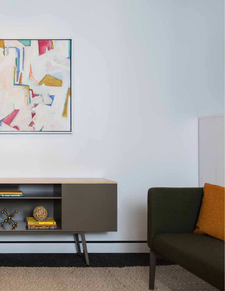

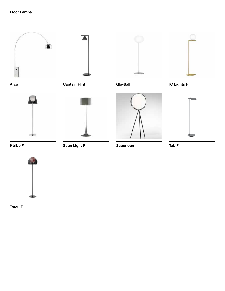

**Tatou F**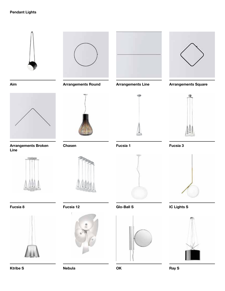

**Ktribe S Nebula OK Ray S**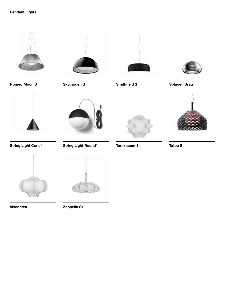

**Romeo Moon S** 





**Smithfield S** 



**Splugen Brau** 



**String Light Cone\*** 



**String Light Round\*** 



**Viscontea** 



Zeppelin S1



Taraxacum 1



**Tatou S**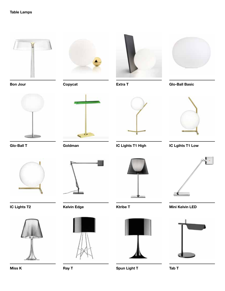



















Glo-Ball T **Goldman Goldman IC Lights T1 High <b>IC Lgihts T1 Low** 





Miss K **Ray T** Ray T **Spun Light T** Tab T



**Bon Jour Copycat Extra T** Copycat **Extra T** Copycat **Extra T** Copycat **Extra T** Copycat **Extra T** Copycat **Extra T** Copycat Company Copycat Company Copycat Company Copycat Company Copycat Company Copycat Company Copyc





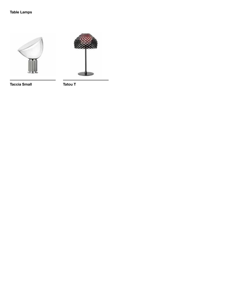



**Taccia Small** 

**Tatou T**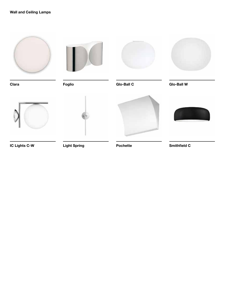## **Wall and Ceiling Lamps**